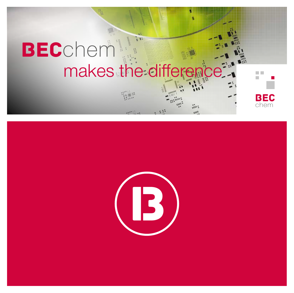## BECchem makes the differe

Ŧ

**BEC**<br>chem



 $\ddot{m}$  $\overline{u}$